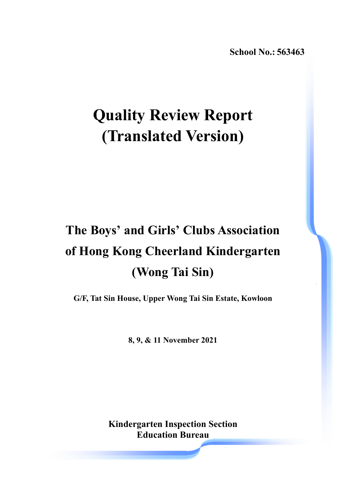**School No.: 563463**

# **Quality Review Report (Translated Version)**

# **The Boys' and Girls' Clubs Association of Hong Kong Cheerland Kindergarten (Wong Tai Sin)**

**G/F, Tat Sin House, Upper Wong Tai Sin Estate, Kowloon** 

**8, 9, & 11 November 2021** 

**Kindergarten Inspection Section Education Bureau**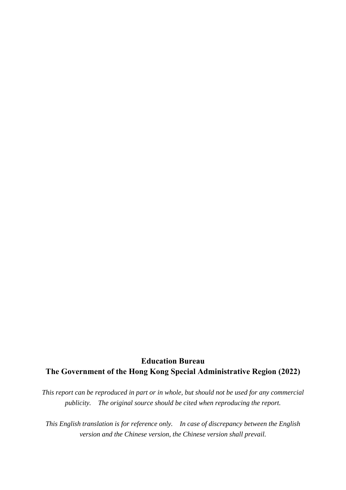## **Education Bureau The Government of the Hong Kong Special Administrative Region (2022)**

*This report can be reproduced in part or in whole, but should not be used for any commercial publicity. The original source should be cited when reproducing the report.* 

*This English translation is for reference only. In case of discrepancy between the English version and the Chinese version, the Chinese version shall prevail.*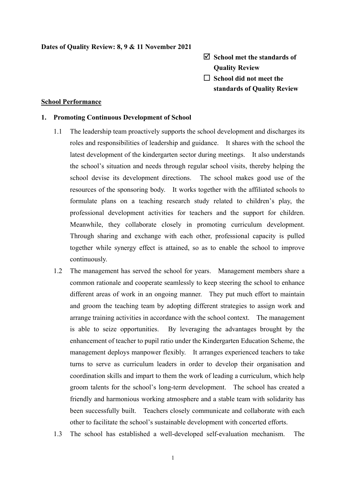### **Dates of Quality Review: 8, 9 & 11 November 2021**

- **School met the standards of Quality Review**
- □ School did not meet the **standards of Quality Review**

#### **School Performance**

#### **1. Promoting Continuous Development of School**

- 1.1 The leadership team proactively supports the school development and discharges its roles and responsibilities of leadership and guidance. It shares with the school the latest development of the kindergarten sector during meetings. It also understands the school's situation and needs through regular school visits, thereby helping the school devise its development directions. The school makes good use of the resources of the sponsoring body. It works together with the affiliated schools to formulate plans on a teaching research study related to children's play, the professional development activities for teachers and the support for children. Meanwhile, they collaborate closely in promoting curriculum development. Through sharing and exchange with each other, professional capacity is pulled together while synergy effect is attained, so as to enable the school to improve continuously.
- 1.2 The management has served the school for years. Management members share a common rationale and cooperate seamlessly to keep steering the school to enhance different areas of work in an ongoing manner. They put much effort to maintain and groom the teaching team by adopting different strategies to assign work and arrange training activities in accordance with the school context. The management is able to seize opportunities. By leveraging the advantages brought by the enhancement of teacher to pupil ratio under the Kindergarten Education Scheme, the management deploys manpower flexibly. It arranges experienced teachers to take turns to serve as curriculum leaders in order to develop their organisation and coordination skills and impart to them the work of leading a curriculum, which help groom talents for the school's long-term development. The school has created a friendly and harmonious working atmosphere and a stable team with solidarity has been successfully built. Teachers closely communicate and collaborate with each other to facilitate the school's sustainable development with concerted efforts.
- 1.3 The school has established a well-developed self-evaluation mechanism. The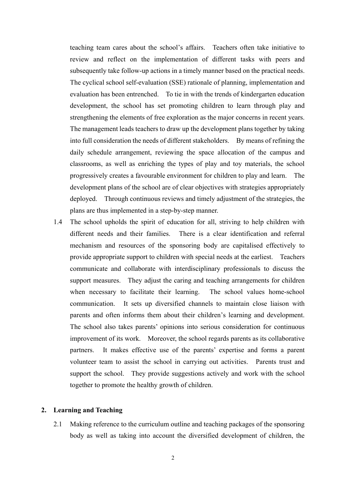teaching team cares about the school's affairs. Teachers often take initiative to review and reflect on the implementation of different tasks with peers and subsequently take follow-up actions in a timely manner based on the practical needs. The cyclical school self-evaluation (SSE) rationale of planning, implementation and evaluation has been entrenched. To tie in with the trends of kindergarten education development, the school has set promoting children to learn through play and strengthening the elements of free exploration as the major concerns in recent years. The management leads teachers to draw up the development plans together by taking into full consideration the needs of different stakeholders. By means of refining the daily schedule arrangement, reviewing the space allocation of the campus and classrooms, as well as enriching the types of play and toy materials, the school progressively creates a favourable environment for children to play and learn. The development plans of the school are of clear objectives with strategies appropriately deployed. Through continuous reviews and timely adjustment of the strategies, the plans are thus implemented in a step-by-step manner.

1.4 The school upholds the spirit of education for all, striving to help children with different needs and their families. There is a clear identification and referral mechanism and resources of the sponsoring body are capitalised effectively to provide appropriate support to children with special needs at the earliest. Teachers communicate and collaborate with interdisciplinary professionals to discuss the support measures. They adjust the caring and teaching arrangements for children when necessary to facilitate their learning. The school values home-school communication. It sets up diversified channels to maintain close liaison with parents and often informs them about their children's learning and development. The school also takes parents' opinions into serious consideration for continuous improvement of its work. Moreover, the school regards parents as its collaborative partners. It makes effective use of the parents' expertise and forms a parent volunteer team to assist the school in carrying out activities. Parents trust and support the school. They provide suggestions actively and work with the school together to promote the healthy growth of children.

#### **2. Learning and Teaching**

2.1 Making reference to the curriculum outline and teaching packages of the sponsoring body as well as taking into account the diversified development of children, the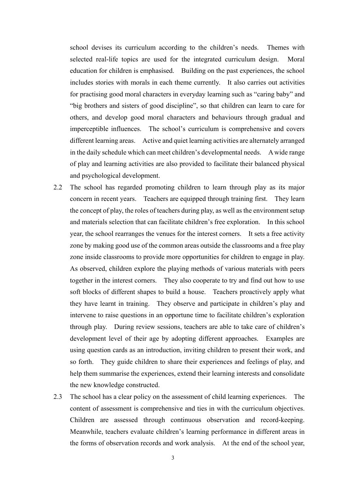school devises its curriculum according to the children's needs. Themes with selected real-life topics are used for the integrated curriculum design. Moral education for children is emphasised. Building on the past experiences, the school includes stories with morals in each theme currently. It also carries out activities for practising good moral characters in everyday learning such as "caring baby" and "big brothers and sisters of good discipline", so that children can learn to care for others, and develop good moral characters and behaviours through gradual and imperceptible influences. The school's curriculum is comprehensive and covers different learning areas. Active and quiet learning activities are alternately arranged in the daily schedule which can meet children's developmental needs. A wide range of play and learning activities are also provided to facilitate their balanced physical and psychological development.

- 2.2 The school has regarded promoting children to learn through play as its major concern in recent years. Teachers are equipped through training first. They learn the concept of play, the roles of teachers during play, as well as the environment setup and materials selection that can facilitate children's free exploration. In this school year, the school rearranges the venues for the interest corners. It sets a free activity zone by making good use of the common areas outside the classrooms and a free play zone inside classrooms to provide more opportunities for children to engage in play. As observed, children explore the playing methods of various materials with peers together in the interest corners. They also cooperate to try and find out how to use soft blocks of different shapes to build a house. Teachers proactively apply what they have learnt in training. They observe and participate in children's play and intervene to raise questions in an opportune time to facilitate children's exploration through play. During review sessions, teachers are able to take care of children's development level of their age by adopting different approaches. Examples are using question cards as an introduction, inviting children to present their work, and so forth. They guide children to share their experiences and feelings of play, and help them summarise the experiences, extend their learning interests and consolidate the new knowledge constructed.
- 2.3 The school has a clear policy on the assessment of child learning experiences. The content of assessment is comprehensive and ties in with the curriculum objectives. Children are assessed through continuous observation and record-keeping. Meanwhile, teachers evaluate children's learning performance in different areas in the forms of observation records and work analysis. At the end of the school year,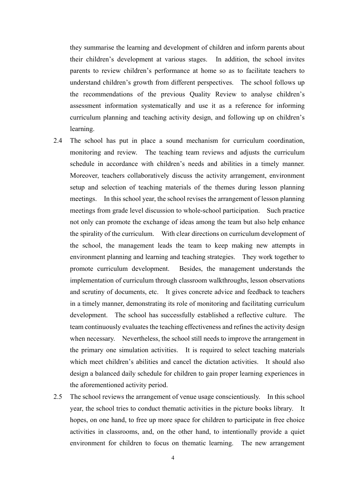they summarise the learning and development of children and inform parents about their children's development at various stages. In addition, the school invites parents to review children's performance at home so as to facilitate teachers to understand children's growth from different perspectives. The school follows up the recommendations of the previous Quality Review to analyse children's assessment information systematically and use it as a reference for informing curriculum planning and teaching activity design, and following up on children's learning.

- 2.4 The school has put in place a sound mechanism for curriculum coordination, monitoring and review. The teaching team reviews and adjusts the curriculum schedule in accordance with children's needs and abilities in a timely manner. Moreover, teachers collaboratively discuss the activity arrangement, environment setup and selection of teaching materials of the themes during lesson planning meetings. In this school year, the school revises the arrangement of lesson planning meetings from grade level discussion to whole-school participation. Such practice not only can promote the exchange of ideas among the team but also help enhance the spirality of the curriculum. With clear directions on curriculum development of the school, the management leads the team to keep making new attempts in environment planning and learning and teaching strategies. They work together to promote curriculum development. Besides, the management understands the implementation of curriculum through classroom walkthroughs, lesson observations and scrutiny of documents, etc. It gives concrete advice and feedback to teachers in a timely manner, demonstrating its role of monitoring and facilitating curriculum development. The school has successfully established a reflective culture. The team continuously evaluates the teaching effectiveness and refines the activity design when necessary. Nevertheless, the school still needs to improve the arrangement in the primary one simulation activities. It is required to select teaching materials which meet children's abilities and cancel the dictation activities. It should also design a balanced daily schedule for children to gain proper learning experiences in the aforementioned activity period.
- 2.5 The school reviews the arrangement of venue usage conscientiously. In this school year, the school tries to conduct thematic activities in the picture books library. It hopes, on one hand, to free up more space for children to participate in free choice activities in classrooms, and, on the other hand, to intentionally provide a quiet environment for children to focus on thematic learning. The new arrangement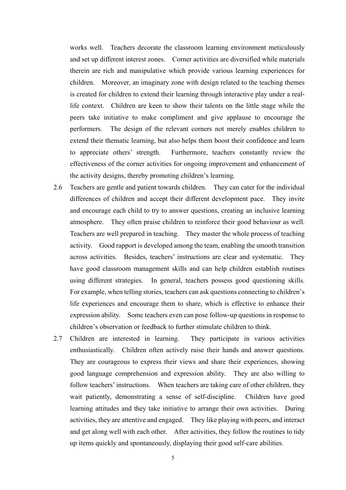works well. Teachers decorate the classroom learning environment meticulously and set up different interest zones. Corner activities are diversified while materials therein are rich and manipulative which provide various learning experiences for children. Moreover, an imaginary zone with design related to the teaching themes is created for children to extend their learning through interactive play under a reallife context. Children are keen to show their talents on the little stage while the peers take initiative to make compliment and give applause to encourage the performers. The design of the relevant corners not merely enables children to extend their thematic learning, but also helps them boost their confidence and learn to appreciate others' strength. Furthermore, teachers constantly review the effectiveness of the corner activities for ongoing improvement and enhancement of the activity designs, thereby promoting children's learning.

- 2.6 Teachers are gentle and patient towards children. They can cater for the individual differences of children and accept their different development pace. They invite and encourage each child to try to answer questions, creating an inclusive learning atmosphere. They often praise children to reinforce their good behaviour as well. Teachers are well prepared in teaching. They master the whole process of teaching activity. Good rapport is developed among the team, enabling the smooth transition across activities. Besides, teachers' instructions are clear and systematic. They have good classroom management skills and can help children establish routines using different strategies. In general, teachers possess good questioning skills. For example, when telling stories, teachers can ask questions connecting to children's life experiences and encourage them to share, which is effective to enhance their expression ability. Some teachers even can pose follow-up questions in response to children's observation or feedback to further stimulate children to think.
- 2.7 Children are interested in learning. They participate in various activities enthusiastically. Children often actively raise their hands and answer questions. They are courageous to express their views and share their experiences, showing good language comprehension and expression ability. They are also willing to follow teachers' instructions. When teachers are taking care of other children, they wait patiently, demonstrating a sense of self-discipline. Children have good learning attitudes and they take initiative to arrange their own activities. During activities, they are attentive and engaged. They like playing with peers, and interact and get along well with each other. After activities, they follow the routines to tidy up items quickly and spontaneously, displaying their good self-care abilities.